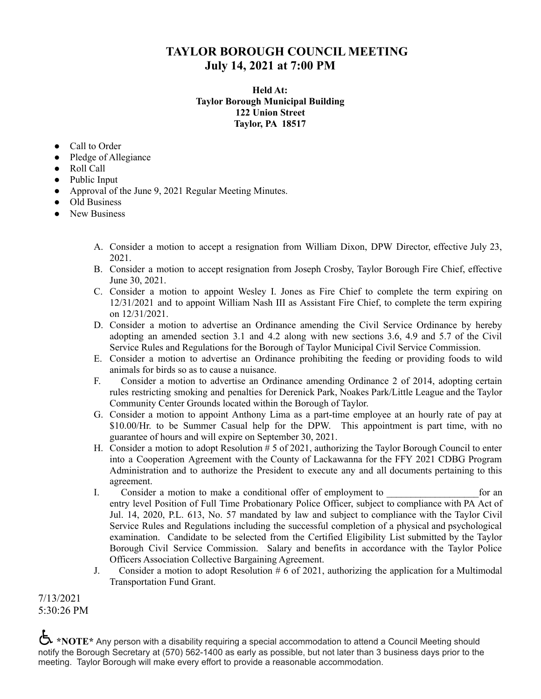## **TAYLOR BOROUGH COUNCIL MEETING July 14, 2021 at 7:00 PM**

## **Held At: Taylor Borough Municipal Building 122 Union Street Taylor, PA 18517**

- Call to Order
- Pledge of Allegiance
- Roll Call
- Public Input
- Approval of the June 9, 2021 Regular Meeting Minutes.
- Old Business
- New Business
	- A. Consider a motion to accept a resignation from William Dixon, DPW Director, effective July 23, 2021.
	- B. Consider a motion to accept resignation from Joseph Crosby, Taylor Borough Fire Chief, effective June 30, 2021.
	- C. Consider a motion to appoint Wesley I. Jones as Fire Chief to complete the term expiring on 12/31/2021 and to appoint William Nash III as Assistant Fire Chief, to complete the term expiring on 12/31/2021.
	- D. Consider a motion to advertise an Ordinance amending the Civil Service Ordinance by hereby adopting an amended section 3.1 and 4.2 along with new sections 3.6, 4.9 and 5.7 of the Civil Service Rules and Regulations for the Borough of Taylor Municipal Civil Service Commission.
	- E. Consider a motion to advertise an Ordinance prohibiting the feeding or providing foods to wild animals for birds so as to cause a nuisance.
	- F. Consider a motion to advertise an Ordinance amending Ordinance 2 of 2014, adopting certain rules restricting smoking and penalties for Derenick Park, Noakes Park/Little League and the Taylor Community Center Grounds located within the Borough of Taylor.
	- G. Consider a motion to appoint Anthony Lima as a part-time employee at an hourly rate of pay at \$10.00/Hr. to be Summer Casual help for the DPW. This appointment is part time, with no guarantee of hours and will expire on September 30, 2021.
	- H. Consider a motion to adopt Resolution # 5 of 2021, authorizing the Taylor Borough Council to enter into a Cooperation Agreement with the County of Lackawanna for the FFY 2021 CDBG Program Administration and to authorize the President to execute any and all documents pertaining to this agreement.
	- I. Consider a motion to make a conditional offer of employment to  $\qquad$  for an entry level Position of Full Time Probationary Police Officer, subject to compliance with PA Act of Jul. 14, 2020, P.L. 613, No. 57 mandated by law and subject to compliance with the Taylor Civil Service Rules and Regulations including the successful completion of a physical and psychological examination. Candidate to be selected from the Certified Eligibility List submitted by the Taylor Borough Civil Service Commission. Salary and benefits in accordance with the Taylor Police Officers Association Collective Bargaining Agreement.
	- J. Consider a motion to adopt Resolution  $# 6$  of 2021, authorizing the application for a Multimodal Transportation Fund Grant.

7/13/2021 5:30:26 PM

**\*NOTE**\* Any person with a disability requiring a special accommodation to attend a Council Meeting should notify the Borough Secretary at (570) 562-1400 as early as possible, but not later than 3 business days prior to the meeting. Taylor Borough will make every effort to provide a reasonable accommodation.